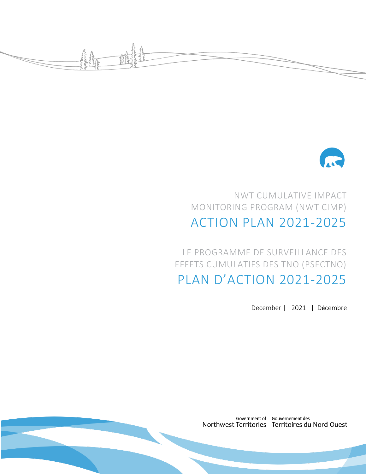



# NWT CUMULATIVE IMPACT MONITORING PROGRAM (NWT CIMP) ACTION PLAN 2021-2025

LE PROGRAMME DE SURVEILLANCE DES EFFETS CUMULATIFS DES TNO (PSECTNO) PLAN D'ACTION 2021-2025

December | 2021 | Décembre

Government of Gouvernement des Northwest Territories Territoires du Nord-Ouest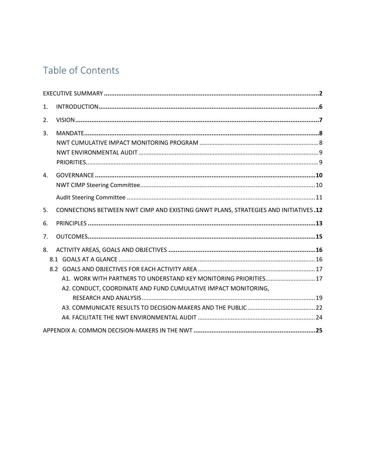# Table of Contents

| 1. |                                                                                                                                     |
|----|-------------------------------------------------------------------------------------------------------------------------------------|
| 2. |                                                                                                                                     |
| 3. |                                                                                                                                     |
| 4. |                                                                                                                                     |
| 5. | CONNECTIONS BETWEEN NWT CIMP AND EXISTING GNWT PLANS, STRATEGIES AND INITIATIVES.12                                                 |
| 6. |                                                                                                                                     |
| 7. |                                                                                                                                     |
| 8. | A1. WORK WITH PARTNERS TO UNDERSTAND KEY MONITORING PRIORITIES 17<br>A2. CONDUCT, COORDINATE AND FUND CUMULATIVE IMPACT MONITORING, |
|    |                                                                                                                                     |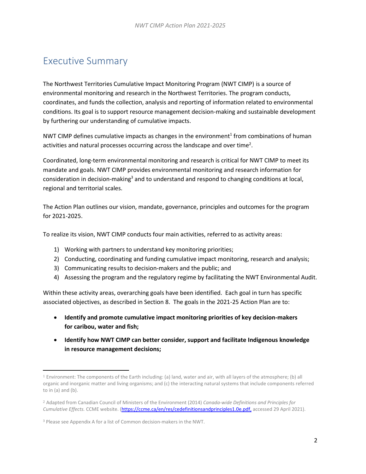## <span id="page-2-0"></span>Executive Summary

The Northwest Territories Cumulative Impact Monitoring Program (NWT CIMP) is a source of environmental monitoring and research in the Northwest Territories. The program conducts, coordinates, and funds the collection, analysis and reporting of information related to environmental conditions. Its goal is to support resource management decision-making and sustainable development by furthering our understanding of cumulative impacts.

NWT CIMP defines cumulative impacts as changes in the environment<sup>1</sup> from combinations of human activities and natural processes occurring across the landscape and over time<sup>2</sup>.

Coordinated, long-term environmental monitoring and research is critical for NWT CIMP to meet its mandate and goals. NWT CIMP provides environmental monitoring and research information for consideration in decision-making<sup>3</sup> and to understand and respond to changing conditions at local, regional and territorial scales.

The Action Plan outlines our vision, mandate, governance, principles and outcomes for the program for 2021-2025.

To realize its vision, NWT CIMP conducts four main activities, referred to as activity areas:

- 1) Working with partners to understand key monitoring priorities;
- 2) Conducting, coordinating and funding cumulative impact monitoring, research and analysis;
- 3) Communicating results to decision-makers and the public; and
- 4) Assessing the program and the regulatory regime by facilitating the NWT Environmental Audit.

Within these activity areas, overarching goals have been identified. Each goal in turn has specific associated objectives, as described in Section 8. The goals in the 2021-25 Action Plan are to:

- **Identify and promote cumulative impact monitoring priorities of key decision-makers for caribou, water and fish;**
- **Identify how NWT CIMP can better consider, support and facilitate Indigenous knowledge in resource management decisions;**

<sup>1</sup> Environment: The components of the Earth including: (a) land, water and air, with all layers of the atmosphere; (b) all organic and inorganic matter and living organisms; and (c) the interacting natural systems that include components referred to in  $(a)$  and  $(b)$ .

<sup>2</sup> Adapted from Canadian Council of Ministers of the Environment (2014) *Canada-wide Definitions and Principles for Cumulative Effects.* CCME website. [\(https://ccme.ca/en/res/cedefinitionsandprinciples1.0e.pdf,](https://ccme.ca/en/res/cedefinitionsandprinciples1.0e.pdf) accessed 29 April 2021).

<sup>3</sup> Please see Appendix A for a list of Common decision-makers in the NWT.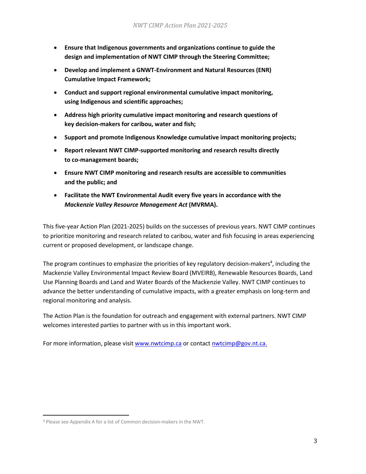- **Ensure that Indigenous governments and organizations continue to guide the design and implementation of NWT CIMP through the Steering Committee;**
- **Develop and implement a GNWT-Environment and Natural Resources (ENR) Cumulative Impact Framework;**
- **Conduct and support regional environmental cumulative impact monitoring, using Indigenous and scientific approaches;**
- **Address high priority cumulative impact monitoring and research questions of key decision-makers for caribou, water and fish;**
- **Support and promote Indigenous Knowledge cumulative impact monitoring projects;**
- **Report relevant NWT CIMP-supported monitoring and research results directly to co-management boards;**
- **Ensure NWT CIMP monitoring and research results are accessible to communities and the public; and**
- **Facilitate the NWT Environmental Audit every five years in accordance with the**  *Mackenzie Valley Resource Management Act* **(MVRMA).**

This five-year Action Plan (2021-2025) builds on the successes of previous years. NWT CIMP continues to prioritize monitoring and research related to caribou, water and fish focusing in areas experiencing current or proposed development, or landscape change.

The program continues to emphasize the priorities of key regulatory decision-makers<sup>4</sup>, including the Mackenzie Valley Environmental Impact Review Board (MVEIRB), Renewable Resources Boards, Land Use Planning Boards and Land and Water Boards of the Mackenzie Valley. NWT CIMP continues to advance the better understanding of cumulative impacts, with a greater emphasis on long-term and regional monitoring and analysis.

The Action Plan is the foundation for outreach and engagement with external partners. NWT CIMP welcomes interested parties to partner with us in this important work.

For more information, please visi[t www.nwtcimp.ca](http://www.nwtcimp.ca/) or contac[t nwtcimp@gov.nt.ca.](https://diimsxt.pws.gov.nt.ca/gnwtdav/nodes/84156501/nwtcimp%40gov.nt.ca)

<sup>4</sup> Please see Appendix A for a list of Common decision-makers in the NWT.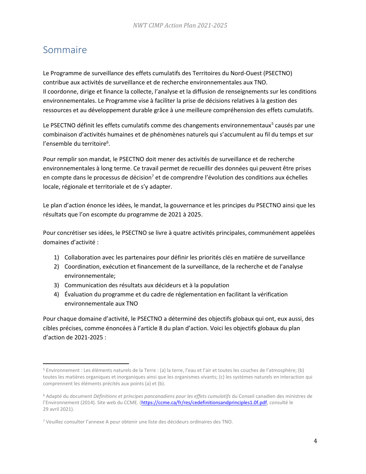# Sommaire

Le Programme de surveillance des effets cumulatifs des Territoires du Nord-Ouest (PSECTNO) contribue aux activités de surveillance et de recherche environnementales aux TNO. Il coordonne, dirige et finance la collecte, l'analyse et la diffusion de renseignements sur les conditions environnementales. Le Programme vise à faciliter la prise de décisions relatives à la gestion des ressources et au développement durable grâce à une meilleure compréhension des effets cumulatifs.

Le PSECTNO définit les effets cumulatifs comme des changements environnementaux<sup>5</sup> causés par une combinaison d'activités humaines et de phénomènes naturels qui s'accumulent au fil du temps et sur l'ensemble du territoire<sup>6</sup>.

Pour remplir son mandat, le PSECTNO doit mener des activités de surveillance et de recherche environnementales à long terme. Ce travail permet de recueillir des données qui peuvent être prises en compte dans le processus de décision<sup>7</sup> et de comprendre l'évolution des conditions aux échelles locale, régionale et territoriale et de s'y adapter.

Le plan d'action énonce les idées, le mandat, la gouvernance et les principes du PSECTNO ainsi que les résultats que l'on escompte du programme de 2021 à 2025.

Pour concrétiser ses idées, le PSECTNO se livre à quatre activités principales, communément appelées domaines d'activité :

- 1) Collaboration avec les partenaires pour définir les priorités clés en matière de surveillance
- 2) Coordination, exécution et financement de la surveillance, de la recherche et de l'analyse environnementale;
- 3) Communication des résultats aux décideurs et à la population
- 4) Évaluation du programme et du cadre de réglementation en facilitant la vérification environnementale aux TNO

Pour chaque domaine d'activité, le PSECTNO a déterminé des objectifs globaux qui ont, eux aussi, des cibles précises, comme énoncées à l'article 8 du plan d'action. Voici les objectifs globaux du plan d'action de 2021-2025 :

<sup>5</sup> Environnement : Les éléments naturels de la Terre : (a) la terre, l'eau et l'air et toutes les couches de l'atmosphère; (b) toutes les matières organiques et inorganiques ainsi que les organismes vivants; (c) les systèmes naturels en interaction qui comprennent les éléments précités aux points (a) et (b).

<sup>6</sup> Adapté du document *Définitions et principes pancanadiens pour les effets cumulatifs* du Conseil canadien des ministres de l'Environnement (2014). Site web du CCME. ([https://ccme.ca/fr/res/cedefinitionsandprinciples1.0f.pdf,](https://ccme.ca/en/res/cedefinitionsandprinciples1.0e.pdf) consulté le 29 avril 2021).

<sup>7</sup> Veuillez consulter l'annexe A pour obtenir une liste des décideurs ordinaires des TNO.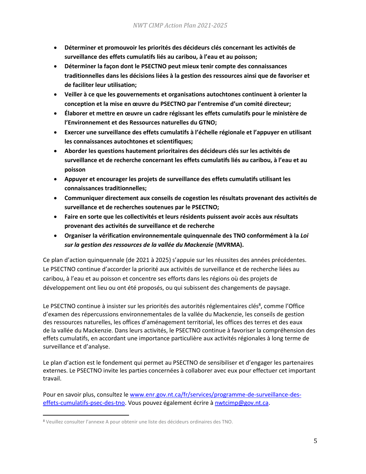- **Déterminer et promouvoir les priorités des décideurs clés concernant les activités de surveillance des effets cumulatifs liés au caribou, à l'eau et au poisson;**
- **Déterminer la façon dont le PSECTNO peut mieux tenir compte des connaissances traditionnelles dans les décisions liées à la gestion des ressources ainsi que de favoriser et de faciliter leur utilisation;**
- **Veiller à ce que les gouvernements et organisations autochtones continuent à orienter la conception et la mise en œuvre du PSECTNO par l'entremise d'un comité directeur;**
- **Élaborer et mettre en œuvre un cadre régissant les effets cumulatifs pour le ministère de l'Environnement et des Ressources naturelles du GTNO;**
- **Exercer une surveillance des effets cumulatifs à l'échelle régionale et l'appuyer en utilisant les connaissances autochtones et scientifiques;**
- **Aborder les questions hautement prioritaires des décideurs clés sur les activités de surveillance et de recherche concernant les effets cumulatifs liés au caribou, à l'eau et au poisson**
- **Appuyer et encourager les projets de surveillance des effets cumulatifs utilisant les connaissances traditionnelles;**
- **Communiquer directement aux conseils de cogestion les résultats provenant des activités de surveillance et de recherches soutenues par le PSECTNO;**
- **Faire en sorte que les collectivités et leurs résidents puissent avoir accès aux résultats provenant des activités de surveillance et de recherche**
- **Organiser la vérification environnementale quinquennale des TNO conformément à la** *Loi sur la gestion des ressources de la vallée du Mackenzie* **(MVRMA).**

Ce plan d'action quinquennale (de 2021 à 2025) s'appuie sur les réussites des années précédentes. Le PSECTNO continue d'accorder la priorité aux activités de surveillance et de recherche liées au caribou, à l'eau et au poisson et concentre ses efforts dans les régions où des projets de développement ont lieu ou ont été proposés, ou qui subissent des changements de paysage.

Le PSECTNO continue à insister sur les priorités des autorités réglementaires clés<sup>8</sup>, comme l'Office d'examen des répercussions environnementales de la vallée du Mackenzie, les conseils de gestion des ressources naturelles, les offices d'aménagement territorial, les offices des terres et des eaux de la vallée du Mackenzie. Dans leurs activités, le PSECTNO continue à favoriser la compréhension des effets cumulatifs, en accordant une importance particulière aux activités régionales à long terme de surveillance et d'analyse.

Le plan d'action est le fondement qui permet au PSECTNO de sensibiliser et d'engager les partenaires externes. Le PSECTNO invite les parties concernées à collaborer avec eux pour effectuer cet important travail.

Pour en savoir plus, consultez l[e www.enr.gov.nt.ca/fr/services/programme-de-surveillance-des](http://www.enr.gov.nt.ca/fr/services/programme-de-surveillance-des-effets-cumulatifs-psec-des-tno)[effets-cumulatifs-psec-des-tno.](http://www.enr.gov.nt.ca/fr/services/programme-de-surveillance-des-effets-cumulatifs-psec-des-tno) Vous pouvez également écrire [à nwtcimp@gov.nt.ca.](mailto:nwtcimp@gov.nt.ca)

**<sup>8</sup>** Veuillez consulter l'annexe A pour obtenir une liste des décideurs ordinaires des TNO.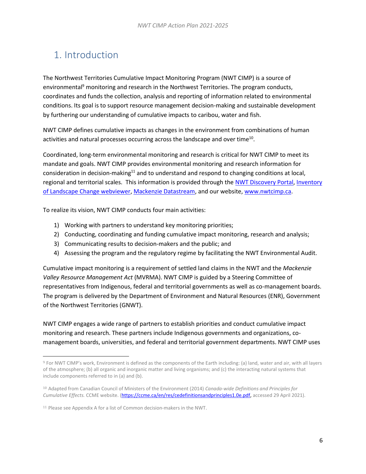# <span id="page-6-0"></span>1. Introduction

The Northwest Territories Cumulative Impact Monitoring Program (NWT CIMP) is a source of environmental<sup>9</sup> monitoring and research in the Northwest Territories. The program conducts, coordinates and funds the collection, analysis and reporting of information related to environmental conditions. Its goal is to support resource management decision-making and sustainable development by furthering our understanding of cumulative impacts to caribou, water and fish.

NWT CIMP defines cumulative impacts as changes in the environment from combinations of human activities and natural processes occurring across the landscape and over time<sup>10</sup>.

Coordinated, long-term environmental monitoring and research is critical for NWT CIMP to meet its mandate and goals. NWT CIMP provides environmental monitoring and research information for consideration in decision-making<sup>11</sup> and to understand and respond to changing conditions at local, regional and territorial scales. This information is provided through th[e NWT Discovery Portal,](https://nwtdiscoveryportal.enr.gov.nt.ca/geoportal/catalog/main/home.page) [Inventory](https://www.maps.geomatics.gov.nt.ca/Html5Viewer_PROD/Index.html?viewer=CIMP_ILC_Webmap.ILC_Viewer)  [of Landscape Change webviewer,](https://www.maps.geomatics.gov.nt.ca/Html5Viewer_PROD/Index.html?viewer=CIMP_ILC_Webmap.ILC_Viewer) [Mackenzie Datastream,](https://mackenziedatastream.ca/) and our website, [www.nwtcimp.ca.](http://www.nwtcimp.ca/)

To realize its vision, NWT CIMP conducts four main activities:

- 1) Working with partners to understand key monitoring priorities;
- 2) Conducting, coordinating and funding cumulative impact monitoring, research and analysis;
- 3) Communicating results to decision-makers and the public; and
- 4) Assessing the program and the regulatory regime by facilitating the NWT Environmental Audit.

Cumulative impact monitoring is a requirement of settled land claims in the NWT and the *Mackenzie Valley Resource Management Act* (MVRMA). NWT CIMP is guided by a Steering Committee of representatives from Indigenous, federal and territorial governments as well as co-management boards. The program is delivered by the Department of Environment and Natural Resources (ENR), Government of the Northwest Territories (GNWT).

NWT CIMP engages a wide range of partners to establish priorities and conduct cumulative impact monitoring and research. These partners include Indigenous governments and organizations, comanagement boards, universities, and federal and territorial government departments. NWT CIMP uses

<sup>9</sup> For NWT CIMP's work, Environment is defined as the components of the Earth including: (a) land, water and air, with all layers of the atmosphere; (b) all organic and inorganic matter and living organisms; and (c) the interacting natural systems that include components referred to in (a) and (b).

<sup>10</sup> Adapted from Canadian Council of Ministers of the Environment (2014) *Canada-wide Definitions and Principles for Cumulative Effects.* CCME website. [\(https://ccme.ca/en/res/cedefinitionsandprinciples1.0e.pdf,](https://ccme.ca/en/res/cedefinitionsandprinciples1.0e.pdf) accessed 29 April 2021).

<sup>11</sup> Please see Appendix A for a list of Common decision-makers in the NWT.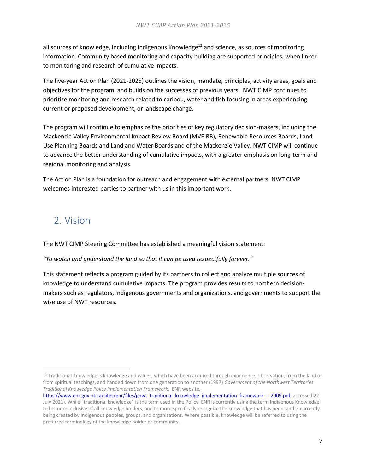all sources of knowledge, including Indigenous Knowledge<sup>12</sup> and science, as sources of monitoring information. Community based monitoring and capacity building are supported principles, when linked to monitoring and research of cumulative impacts.

The five-year Action Plan (2021-2025) outlines the vision, mandate, principles, activity areas, goals and objectives for the program, and builds on the successes of previous years. NWT CIMP continues to prioritize monitoring and research related to caribou, water and fish focusing in areas experiencing current or proposed development, or landscape change.

The program will continue to emphasize the priorities of key regulatory decision-makers, including the Mackenzie Valley Environmental Impact Review Board (MVEIRB), Renewable Resources Boards, Land Use Planning Boards and Land and Water Boards and of the Mackenzie Valley. NWT CIMP will continue to advance the better understanding of cumulative impacts, with a greater emphasis on long-term and regional monitoring and analysis.

The Action Plan is a foundation for outreach and engagement with external partners. NWT CIMP welcomes interested parties to partner with us in this important work.

# <span id="page-7-0"></span>2. Vision

The NWT CIMP Steering Committee has established a meaningful vision statement:

#### *"To watch and understand the land so that it can be used respectfully forever."*

This statement reflects a program guided by its partners to collect and analyze multiple sources of knowledge to understand cumulative impacts. The program provides results to northern decisionmakers such as regulators, Indigenous governments and organizations, and governments to support the wise use of NWT resources.

<sup>&</sup>lt;sup>12</sup> Traditional Knowledge is knowledge and values, which have been acquired through experience, observation, from the land or from spiritual teachings, and handed down from one generation to another (1997) *Government of the Northwest Territories Traditional Knowledge Policy Implementation Framework.* ENR website.

[https://www.enr.gov.nt.ca/sites/enr/files/gnwt\\_traditional\\_knowledge\\_implementation\\_framework\\_-\\_2009.pdf,](https://www.enr.gov.nt.ca/sites/enr/files/gnwt_traditional_knowledge_implementation_framework_-_2009.pdf) accessed 22 July 2021). While "traditional knowledge" is the term used in the Policy, ENR is currently using the term Indigenous Knowledge, to be more inclusive of all knowledge holders, and to more specifically recognize the knowledge that has been and is currently being created by Indigenous peoples, groups, and organizations. Where possible, knowledge will be referred to using the preferred terminology of the knowledge holder or community.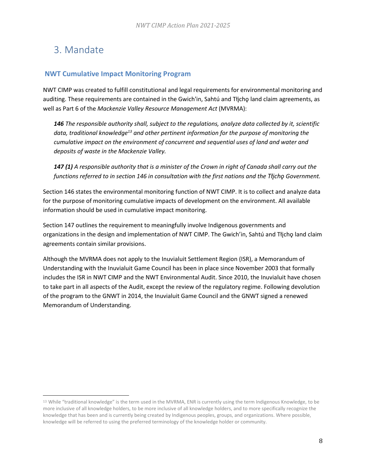# <span id="page-8-0"></span>3. Mandate

### <span id="page-8-1"></span>**NWT Cumulative Impact Monitoring Program**

NWT CIMP was created to fulfill constitutional and legal requirements for environmental monitoring and auditing. These requirements are contained in the Gwich'in, Sahtú and Tłjcho land claim agreements, as well as Part 6 of the *Mackenzie Valley Resource Management Act* (MVRMA):

*146 The responsible authority shall, subject to the regulations, analyze data collected by it, scientific data, traditional knowledge<sup>13</sup> and other pertinent information for the purpose of monitoring the cumulative impact on the environment of concurrent and sequential uses of land and water and deposits of waste in the Mackenzie Valley.*

*147 (1) A responsible authority that is a minister of the Crown in right of Canada shall carry out the functions referred to in section 146 in consultation with the first nations and the Tłįchǫ Government.*

Section 146 states the environmental monitoring function of NWT CIMP. It is to collect and analyze data for the purpose of monitoring cumulative impacts of development on the environment. All available information should be used in cumulative impact monitoring.

Section 147 outlines the requirement to meaningfully involve Indigenous governments and organizations in the design and implementation of NWT CIMP. The Gwich'in, Sahtú and Tłjcho land claim agreements contain similar provisions.

Although the MVRMA does not apply to the Inuvialuit Settlement Region (ISR), a Memorandum of Understanding with the Inuvialuit Game Council has been in place since November 2003 that formally includes the ISR in NWT CIMP and the NWT Environmental Audit. Since 2010, the Inuvialuit have chosen to take part in all aspects of the Audit, except the review of the regulatory regime. Following devolution of the program to the GNWT in 2014, the Inuvialuit Game Council and the GNWT signed a renewed Memorandum of Understanding.

<sup>13</sup> While "traditional knowledge" is the term used in the MVRMA, ENR is currently using the term Indigenous Knowledge, to be more inclusive of all knowledge holders, to be more inclusive of all knowledge holders, and to more specifically recognize the knowledge that has been and is currently being created by Indigenous peoples, groups, and organizations. Where possible, knowledge will be referred to using the preferred terminology of the knowledge holder or community.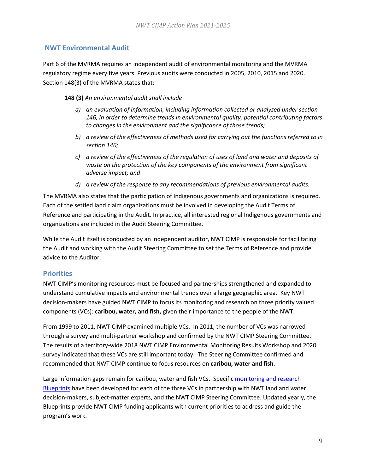### <span id="page-9-0"></span>**NWT Environmental Audit**

Part 6 of the MVRMA requires an independent audit of environmental monitoring and the MVRMA regulatory regime every five years. Previous audits were conducted in 2005, 2010, 2015 and 2020. Section 148(3) of the MVRMA states that:

**148 (3)** *An environmental audit shall include*

- *a) an evaluation of information, including information collected or analyzed under section 146, in order to determine trends in environmental quality, potential contributing factors to changes in the environment and the significance of those trends;*
- *b) a review of the effectiveness of methods used for carrying out the functions referred to in section 146;*
- *c) a review of the effectiveness of the regulation of uses of land and water and deposits of waste on the protection of the key components of the environment from significant adverse impact; and*
- *d) a review of the response to any recommendations of previous environmental audits.*

The MVRMA also states that the participation of Indigenous governments and organizations is required. Each of the settled land claim organizations must be involved in developing the Audit Terms of Reference and participating in the Audit. In practice, all interested regional Indigenous governments and organizations are included in the Audit Steering Committee.

While the Audit itself is conducted by an independent auditor, NWT CIMP is responsible for facilitating the Audit and working with the Audit Steering Committee to set the Terms of Reference and provide advice to the Auditor.

### <span id="page-9-1"></span>**Priorities**

NWT CIMP's monitoring resources must be focused and partnerships strengthened and expanded to understand cumulative impacts and environmental trends over a large geographic area. Key NWT decision-makers have guided NWT CIMP to focus its monitoring and research on three priority valued components (VCs): **caribou, water, and fish,** given their importance to the people of the NWT.

From 1999 to 2011, NWT CIMP examined multiple VCs. In 2011, the number of VCs was narrowed through a survey and multi-partner workshop and confirmed by the NWT CIMP Steering Committee. The results of a territory-wide 2018 NWT CIMP Environmental Monitoring Results Workshop and 2020 survey indicated that these VCs are still important today. The Steering Committee confirmed and recommended that NWT CIMP continue to focus resources on **caribou, water and fish**.

Large information gaps remain for caribou, water and fish VCs. Specific [monitoring and research](https://www.enr.gov.nt.ca/en/services/nwt-cumulative-impact-monitoring-program-nwt-cimp/priorities)  [Blueprints](https://www.enr.gov.nt.ca/en/services/nwt-cumulative-impact-monitoring-program-nwt-cimp/priorities) have been developed for each of the three VCs in partnership with NWT land and water decision-makers, subject-matter experts, and the NWT CIMP Steering Committee. Updated yearly, the Blueprints provide NWT CIMP funding applicants with current priorities to address and guide the program's work.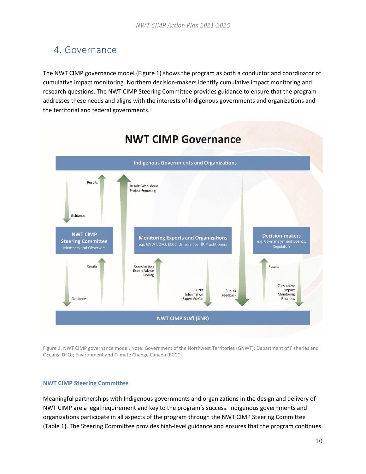## <span id="page-10-0"></span>4. Governance

The NWT CIMP governance model (Figure 1) shows the program as both a conductor and coordinator of cumulative impact monitoring. Northern decision-makers identify cumulative impact monitoring and research questions. The NWT CIMP Steering Committee provides guidance to ensure that the program addresses these needs and aligns with the interests of Indigenous governments and organizations and the territorial and federal governments.



Figure 1. NWT CIMP governance model. Note: Government of the Northwest Territories (GNWT); Department of Fisheries and Oceans (DFO); Environment and Climate Change Canada (ECCC).

#### <span id="page-10-1"></span>**NWT CIMP Steering Committee**

Meaningful partnerships with Indigenous governments and organizations in the design and delivery of NWT CIMP are a legal requirement and key to the program's success. Indigenous governments and organizations participate in all aspects of the program through the NWT CIMP Steering Committee (Table 1). The Steering Committee provides high-level guidance and ensures that the program continues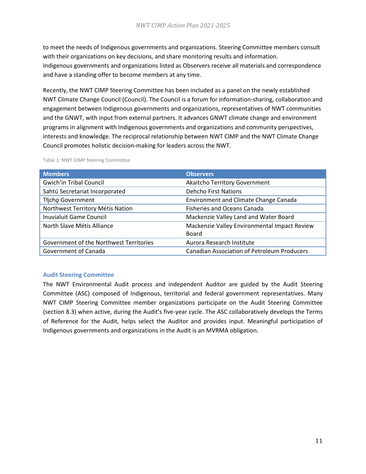to meet the needs of Indigenous governments and organizations. Steering Committee members consult with their organizations on key decisions, and share monitoring results and information. Indigenous governments and organizations listed as Observers receive all materials and correspondence and have a standing offer to become members at any time.

Recently, the NWT CIMP Steering Committee has been included as a panel on the newly established NWT Climate Change Council (Council). The Council is a forum for information-sharing, collaboration and engagement between Indigenous governments and organizations, representatives of NWT communities and the GNWT, with input from external partners. It advances GNWT climate change and environment programs in alignment with Indigenous governments and organizations and community perspectives, interests and knowledge. The reciprocal relationship between NWT CIMP and the NWT Climate Change Council promotes holistic decision-making for leaders across the NWT.

| <b>Members</b>                          | <b>Observers</b>                                   |
|-----------------------------------------|----------------------------------------------------|
| <b>Gwich'in Tribal Council</b>          | Akaitcho Territory Government                      |
| Sahtú Secretariat Incorporated          | <b>Dehcho First Nations</b>                        |
| Tłjcho Government                       | <b>Environment and Climate Change Canada</b>       |
| Northwest Territory Métis Nation        | <b>Fisheries and Oceans Canada</b>                 |
| <b>Inuvialuit Game Council</b>          | Mackenzie Valley Land and Water Board              |
| North Slave Métis Alliance              | Mackenzie Valley Environmental Impact Review       |
|                                         | <b>Board</b>                                       |
| Government of the Northwest Territories | Aurora Research Institute                          |
| Government of Canada                    | <b>Canadian Association of Petroleum Producers</b> |

Table 1: NWT CIMP Steering Committee

#### <span id="page-11-0"></span>**Audit Steering Committee**

The NWT Environmental Audit process and independent Auditor are guided by the Audit Steering Committee (ASC) composed of Indigenous, territorial and federal government representatives. Many NWT CIMP Steering Committee member organizations participate on the Audit Steering Committee (section 8.3) when active, during the Audit's five-year cycle. The ASC collaboratively develops the Terms of Reference for the Audit, helps select the Auditor and provides input. Meaningful participation of Indigenous governments and organizations in the Audit is an MVRMA obligation.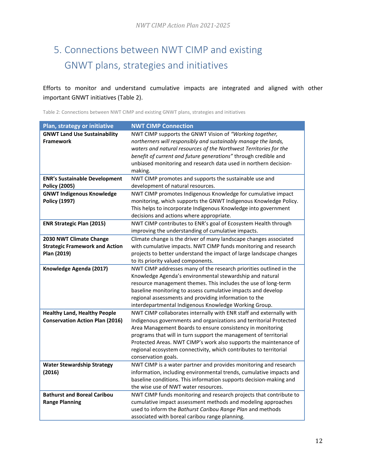# <span id="page-12-0"></span>5. Connections between NWT CIMP and existing GNWT plans, strategies and initiatives

Efforts to monitor and understand cumulative impacts are integrated and aligned with other important GNWT initiatives (Table 2).

Table 2: Connections between NWT CIMP and existing GNWT plans, strategies and initiatives

| Plan, strategy or initiative                                                    | <b>NWT CIMP Connection</b>                                                                                                                                                                                                                                                                                                                                                                                                                   |
|---------------------------------------------------------------------------------|----------------------------------------------------------------------------------------------------------------------------------------------------------------------------------------------------------------------------------------------------------------------------------------------------------------------------------------------------------------------------------------------------------------------------------------------|
| <b>GNWT Land Use Sustainability</b><br><b>Framework</b>                         | NWT CIMP supports the GNWT Vision of "Working together,<br>northerners will responsibly and sustainably manage the lands,<br>waters and natural resources of the Northwest Territories for the<br>benefit of current and future generations" through credible and<br>unbiased monitoring and research data used in northern decision-<br>making.                                                                                             |
| <b>ENR's Sustainable Development</b><br><b>Policy (2005)</b>                    | NWT CIMP promotes and supports the sustainable use and<br>development of natural resources.                                                                                                                                                                                                                                                                                                                                                  |
| <b>GNWT Indigenous Knowledge</b><br>Policy (1997)                               | NWT CIMP promotes Indigenous Knowledge for cumulative impact<br>monitoring, which supports the GNWT Indigenous Knowledge Policy.<br>This helps to incorporate Indigenous Knowledge into government<br>decisions and actions where appropriate.                                                                                                                                                                                               |
| <b>ENR Strategic Plan (2015)</b>                                                | NWT CIMP contributes to ENR's goal of Ecosystem Health through<br>improving the understanding of cumulative impacts.                                                                                                                                                                                                                                                                                                                         |
| 2030 NWT Climate Change<br><b>Strategic Framework and Action</b><br>Plan (2019) | Climate change is the driver of many landscape changes associated<br>with cumulative impacts. NWT CIMP funds monitoring and research<br>projects to better understand the impact of large landscape changes<br>to its priority valued components.                                                                                                                                                                                            |
| Knowledge Agenda (2017)                                                         | NWT CIMP addresses many of the research priorities outlined in the<br>Knowledge Agenda's environmental stewardship and natural<br>resource management themes. This includes the use of long-term<br>baseline monitoring to assess cumulative impacts and develop<br>regional assessments and providing information to the<br>interdepartmental Indigenous Knowledge Working Group.                                                           |
| <b>Healthy Land, Healthy People</b><br><b>Conservation Action Plan (2016)</b>   | NWT CIMP collaborates internally with ENR staff and externally with<br>Indigenous governments and organizations and territorial Protected<br>Area Management Boards to ensure consistency in monitoring<br>programs that will in turn support the management of territorial<br>Protected Areas. NWT CIMP's work also supports the maintenance of<br>regional ecosystem connectivity, which contributes to territorial<br>conservation goals. |
| <b>Water Stewardship Strategy</b><br>(2016)                                     | NWT CIMP is a water partner and provides monitoring and research<br>information, including environmental trends, cumulative impacts and<br>baseline conditions. This information supports decision-making and<br>the wise use of NWT water resources.                                                                                                                                                                                        |
| <b>Bathurst and Boreal Caribou</b><br><b>Range Planning</b>                     | NWT CIMP funds monitoring and research projects that contribute to<br>cumulative impact assessment methods and modeling approaches<br>used to inform the Bathurst Caribou Range Plan and methods<br>associated with boreal caribou range planning.                                                                                                                                                                                           |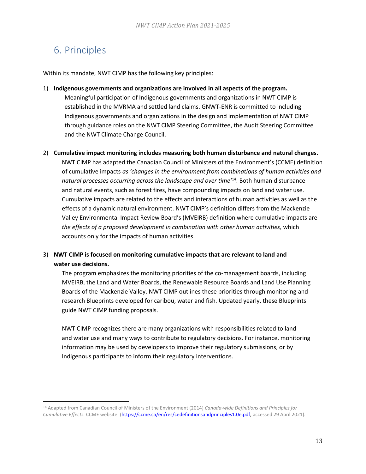# <span id="page-13-0"></span>6. Principles

Within its mandate, NWT CIMP has the following key principles:

- 1) **Indigenous governments and organizations are involved in all aspects of the program.** Meaningful participation of Indigenous governments and organizations in NWT CIMP is established in the MVRMA and settled land claims. GNWT-ENR is committed to including Indigenous governments and organizations in the design and implementation of NWT CIMP through guidance roles on the NWT CIMP Steering Committee, the Audit Steering Committee and the NWT Climate Change Council.
- 2) **Cumulative impact monitoring includes measuring both human disturbance and natural changes.**

NWT CIMP has adapted the Canadian Council of Ministers of the Environment's (CCME) definition of cumulative impacts *as 'changes in the environment from combinations of human activities and natural processes occurring across the landscape and over time'*<sup>14</sup> . Both human disturbance and natural events, such as forest fires, have compounding impacts on land and water use. Cumulative impacts are related to the effects and interactions of human activities as well as the effects of a dynamic natural environment. NWT CIMP's definition differs from the Mackenzie Valley Environmental Impact Review Board's (MVEIRB) definition where cumulative impacts are *the effects of a proposed development in combination with other human activities,* which accounts only for the impacts of human activities.

### 3) **NWT CIMP is focused on monitoring cumulative impacts that are relevant to land and water use decisions.**

The program emphasizes the monitoring priorities of the co-management boards, including MVEIRB, the Land and Water Boards, the Renewable Resource Boards and Land Use Planning Boards of the Mackenzie Valley. NWT CIMP outlines these priorities through monitoring and research Blueprints developed for caribou, water and fish. Updated yearly, these Blueprints guide NWT CIMP funding proposals.

NWT CIMP recognizes there are many organizations with responsibilities related to land and water use and many ways to contribute to regulatory decisions. For instance, monitoring information may be used by developers to improve their regulatory submissions, or by Indigenous participants to inform their regulatory interventions.

<sup>14</sup> Adapted from Canadian Council of Ministers of the Environment (2014) *Canada-wide Definitions and Principles for Cumulative Effects.* CCME website. [\(https://ccme.ca/en/res/cedefinitionsandprinciples1.0e.pdf,](https://ccme.ca/en/res/cedefinitionsandprinciples1.0e.pdf) accessed 29 April 2021).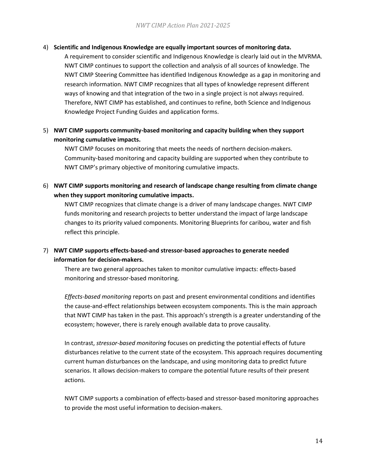#### 4) **Scientific and Indigenous Knowledge are equally important sources of monitoring data.**

A requirement to consider scientific and Indigenous Knowledge is clearly laid out in the MVRMA. NWT CIMP continues to support the collection and analysis of all sources of knowledge. The NWT CIMP Steering Committee has identified Indigenous Knowledge as a gap in monitoring and research information. NWT CIMP recognizes that all types of knowledge represent different ways of knowing and that integration of the two in a single project is not always required. Therefore, NWT CIMP has established, and continues to refine, both Science and Indigenous Knowledge Project Funding Guides and application forms.

### 5) **NWT CIMP supports community-based monitoring and capacity building when they support monitoring cumulative impacts.**

NWT CIMP focuses on monitoring that meets the needs of northern decision-makers. Community-based monitoring and capacity building are supported when they contribute to NWT CIMP's primary objective of monitoring cumulative impacts.

6) **NWT CIMP supports monitoring and research of landscape change resulting from climate change when they support monitoring cumulative impacts.**

NWT CIMP recognizes that climate change is a driver of many landscape changes. NWT CIMP funds monitoring and research projects to better understand the impact of large landscape changes to its priority valued components. Monitoring Blueprints for caribou, water and fish reflect this principle.

### 7) **NWT CIMP supports effects-based-and stressor-based approaches to generate needed information for decision-makers.**

There are two general approaches taken to monitor cumulative impacts: effects-based monitoring and stressor-based monitoring.

*Effects-based monitoring* reports on past and present environmental conditions and identifies the cause-and-effect relationships between ecosystem components. This is the main approach that NWT CIMP has taken in the past. This approach's strength is a greater understanding of the ecosystem; however, there is rarely enough available data to prove causality.

In contrast, *stressor-based monitoring* focuses on predicting the potential effects of future disturbances relative to the current state of the ecosystem. This approach requires documenting current human disturbances on the landscape, and using monitoring data to predict future scenarios. It allows decision-makers to compare the potential future results of their present actions.

NWT CIMP supports a combination of effects-based and stressor-based monitoring approaches to provide the most useful information to decision-makers.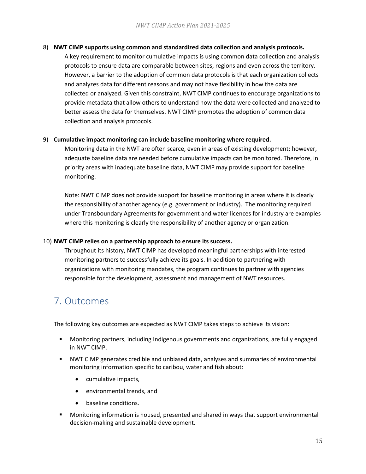#### 8) **NWT CIMP supports using common and standardized data collection and analysis protocols.**

A key requirement to monitor cumulative impacts is using common data collection and analysis protocols to ensure data are comparable between sites, regions and even across the territory. However, a barrier to the adoption of common data protocols is that each organization collects and analyzes data for different reasons and may not have flexibility in how the data are collected or analyzed. Given this constraint, NWT CIMP continues to encourage organizations to provide metadata that allow others to understand how the data were collected and analyzed to better assess the data for themselves. NWT CIMP promotes the adoption of common data collection and analysis protocols.

#### 9) **Cumulative impact monitoring can include baseline monitoring where required.**

Monitoring data in the NWT are often scarce, even in areas of existing development; however, adequate baseline data are needed before cumulative impacts can be monitored. Therefore, in priority areas with inadequate baseline data, NWT CIMP may provide support for baseline monitoring.

Note: NWT CIMP does not provide support for baseline monitoring in areas where it is clearly the responsibility of another agency (e.g. government or industry). The monitoring required under Transboundary Agreements for government and water licences for industry are examples where this monitoring is clearly the responsibility of another agency or organization.

#### 10) **NWT CIMP relies on a partnership approach to ensure its success.**

Throughout its history, NWT CIMP has developed meaningful partnerships with interested monitoring partners to successfully achieve its goals. In addition to partnering with organizations with monitoring mandates, the program continues to partner with agencies responsible for the development, assessment and management of NWT resources.

### <span id="page-15-0"></span>7. Outcomes

The following key outcomes are expected as NWT CIMP takes steps to achieve its vision:

- Monitoring partners, including Indigenous governments and organizations, are fully engaged in NWT CIMP.
- NWT CIMP generates credible and unbiased data, analyses and summaries of environmental monitoring information specific to caribou, water and fish about:
	- cumulative impacts,
	- environmental trends, and
	- baseline conditions.
- Monitoring information is housed, presented and shared in ways that support environmental decision-making and sustainable development.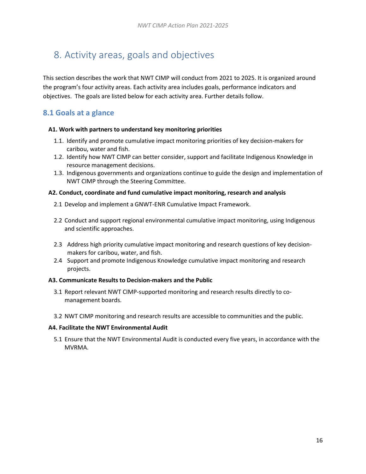# <span id="page-16-0"></span>8. Activity areas, goals and objectives

This section describes the work that NWT CIMP will conduct from 2021 to 2025. It is organized around the program's four activity areas. Each activity area includes goals, performance indicators and objectives. The goals are listed below for each activity area. Further details follow.

### <span id="page-16-1"></span>**8.1 Goals at a glance**

#### **A1. Work with partners to understand key monitoring priorities**

- 1.1. Identify and promote cumulative impact monitoring priorities of key decision-makers for caribou, water and fish.
- 1.2. Identify how NWT CIMP can better consider, support and facilitate Indigenous Knowledge in resource management decisions.
- 1.3. Indigenous governments and organizations continue to guide the design and implementation of NWT CIMP through the Steering Committee.

#### **A2. Conduct, coordinate and fund cumulative impact monitoring, research and analysis**

- 2.1 Develop and implement a GNWT-ENR Cumulative Impact Framework.
- 2.2 Conduct and support regional environmental cumulative impact monitoring, using Indigenous and scientific approaches.
- 2.3 Address high priority cumulative impact monitoring and research questions of key decisionmakers for caribou, water, and fish.
- 2.4 Support and promote Indigenous Knowledge cumulative impact monitoring and research projects.

#### **A3. Communicate Results to Decision-makers and the Public**

- 3.1 Report relevant NWT CIMP-supported monitoring and research results directly to comanagement boards.
- 3.2 NWT CIMP monitoring and research results are accessible to communities and the public.

#### **A4. Facilitate the NWT Environmental Audit**

5.1 Ensure that the NWT Environmental Audit is conducted every five years, in accordance with the MVRMA.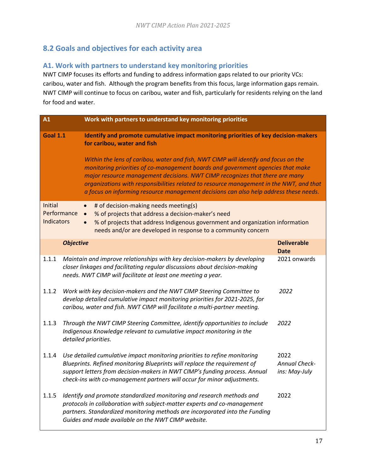### <span id="page-17-0"></span>**8.2 Goals and objectives for each activity area**

### <span id="page-17-1"></span>**A1. Work with partners to understand key monitoring priorities**

NWT CIMP focuses its efforts and funding to address information gaps related to our priority VCs: caribou, water and fish. Although the program benefits from this focus, large information gaps remain. NWT CIMP will continue to focus on caribou, water and fish, particularly for residents relying on the land for food and water.

| $\overline{A1}$              |                                       | Work with partners to understand key monitoring priorities                                                                                                                                                                                                                                                                                                                                                                                 |                                               |
|------------------------------|---------------------------------------|--------------------------------------------------------------------------------------------------------------------------------------------------------------------------------------------------------------------------------------------------------------------------------------------------------------------------------------------------------------------------------------------------------------------------------------------|-----------------------------------------------|
| <b>Goal 1.1</b>              |                                       | Identify and promote cumulative impact monitoring priorities of key decision-makers<br>for caribou, water and fish                                                                                                                                                                                                                                                                                                                         |                                               |
|                              |                                       | Within the lens of caribou, water and fish, NWT CIMP will identify and focus on the<br>monitoring priorities of co-management boards and government agencies that make<br>major resource management decisions. NWT CIMP recognizes that there are many<br>organizations with responsibilities related to resource management in the NWT, and that<br>a focus on informing resource management decisions can also help address these needs. |                                               |
| Initial<br><b>Indicators</b> | $\bullet$<br>Performance<br>$\bullet$ | # of decision-making needs meeting(s)<br>% of projects that address a decision-maker's need<br>% of projects that address Indigenous government and organization information<br>needs and/or are developed in response to a community concern                                                                                                                                                                                              |                                               |
|                              | <b>Objective</b>                      |                                                                                                                                                                                                                                                                                                                                                                                                                                            | <b>Deliverable</b><br><b>Date</b>             |
| 1.1.1                        |                                       | Maintain and improve relationships with key decision-makers by developing<br>closer linkages and facilitating regular discussions about decision-making<br>needs. NWT CIMP will facilitate at least one meeting a year.                                                                                                                                                                                                                    | 2021 onwards                                  |
| 1.1.2                        |                                       | Work with key decision-makers and the NWT CIMP Steering Committee to<br>develop detailed cumulative impact monitoring priorities for 2021-2025, for<br>caribou, water and fish. NWT CIMP will facilitate a multi-partner meeting.                                                                                                                                                                                                          | 2022                                          |
| 1.1.3                        | detailed priorities.                  | Through the NWT CIMP Steering Committee, identify opportunities to include<br>Indigenous Knowledge relevant to cumulative impact monitoring in the                                                                                                                                                                                                                                                                                         | 2022                                          |
| 1.1.4                        |                                       | Use detailed cumulative impact monitoring priorities to refine monitoring<br>Blueprints. Refined monitoring Blueprints will replace the requirement of<br>support letters from decision-makers in NWT CIMP's funding process. Annual<br>check-ins with co-management partners will occur for minor adjustments.                                                                                                                            | 2022<br><b>Annual Check-</b><br>ins: May-July |
| 1.1.5                        |                                       | Identify and promote standardized monitoring and research methods and<br>protocols in collaboration with subject-matter experts and co-management<br>partners. Standardized monitoring methods are incorporated into the Funding<br>Guides and made available on the NWT CIMP website.                                                                                                                                                     | 2022                                          |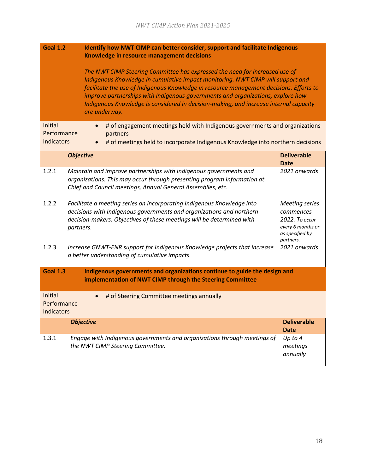<span id="page-18-0"></span>

| <b>Goal 1.2</b>                             | <b>Identify how NWT CIMP can better consider, support and facilitate Indigenous</b>                                                                                                                                                                                                                                                                                                                                                                    |                                                                                                           |
|---------------------------------------------|--------------------------------------------------------------------------------------------------------------------------------------------------------------------------------------------------------------------------------------------------------------------------------------------------------------------------------------------------------------------------------------------------------------------------------------------------------|-----------------------------------------------------------------------------------------------------------|
|                                             | Knowledge in resource management decisions                                                                                                                                                                                                                                                                                                                                                                                                             |                                                                                                           |
|                                             | The NWT CIMP Steering Committee has expressed the need for increased use of<br>Indigenous Knowledge in cumulative impact monitoring. NWT CIMP will support and<br>facilitate the use of Indigenous Knowledge in resource management decisions. Efforts to<br>improve partnerships with Indigenous governments and organizations, explore how<br>Indigenous Knowledge is considered in decision-making, and increase internal capacity<br>are underway. |                                                                                                           |
| Initial                                     | # of engagement meetings held with Indigenous governments and organizations                                                                                                                                                                                                                                                                                                                                                                            |                                                                                                           |
| Performance<br><b>Indicators</b>            | partners<br># of meetings held to incorporate Indigenous Knowledge into northern decisions                                                                                                                                                                                                                                                                                                                                                             |                                                                                                           |
|                                             | <b>Objective</b>                                                                                                                                                                                                                                                                                                                                                                                                                                       | <b>Deliverable</b><br><b>Date</b>                                                                         |
| 1.2.1                                       | Maintain and improve partnerships with Indigenous governments and<br>organizations. This may occur through presenting program information at<br>Chief and Council meetings, Annual General Assemblies, etc.                                                                                                                                                                                                                                            | 2021 onwards                                                                                              |
| 1.2.2                                       | Facilitate a meeting series on incorporating Indigenous Knowledge into<br>decisions with Indigenous governments and organizations and northern<br>decision-makers. Objectives of these meetings will be determined with<br>partners.                                                                                                                                                                                                                   | <b>Meeting series</b><br>commences<br>2022. To occur<br>every 6 months or<br>as specified by<br>partners. |
| 1.2.3                                       | Increase GNWT-ENR support for Indigenous Knowledge projects that increase<br>a better understanding of cumulative impacts.                                                                                                                                                                                                                                                                                                                             | 2021 onwards                                                                                              |
| <b>Goal 1.3</b>                             | Indigenous governments and organizations continue to guide the design and                                                                                                                                                                                                                                                                                                                                                                              |                                                                                                           |
|                                             | implementation of NWT CIMP through the Steering Committee                                                                                                                                                                                                                                                                                                                                                                                              |                                                                                                           |
| <b>Initial</b><br>Performance<br>Indicators | # of Steering Committee meetings annually<br>$\bullet$                                                                                                                                                                                                                                                                                                                                                                                                 |                                                                                                           |
|                                             | <b>Objective</b>                                                                                                                                                                                                                                                                                                                                                                                                                                       | <b>Deliverable</b>                                                                                        |
| 1.3.1                                       | Engage with Indigenous governments and organizations through meetings of                                                                                                                                                                                                                                                                                                                                                                               | <b>Date</b><br>Up to 4                                                                                    |
|                                             | the NWT CIMP Steering Committee.                                                                                                                                                                                                                                                                                                                                                                                                                       | meetings<br>annually                                                                                      |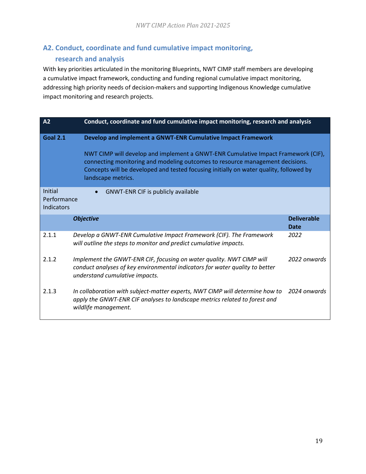### **A2. Conduct, coordinate and fund cumulative impact monitoring, research and analysis**

With key priorities articulated in the monitoring Blueprints, NWT CIMP staff members are developing a cumulative impact framework, conducting and funding regional cumulative impact monitoring, addressing high priority needs of decision-makers and supporting Indigenous Knowledge cumulative impact monitoring and research projects.

| Conduct, coordinate and fund cumulative impact monitoring, research and analysis<br>A2 |                                                                                                                                                                                                                                                                                                                                                    |                            |
|----------------------------------------------------------------------------------------|----------------------------------------------------------------------------------------------------------------------------------------------------------------------------------------------------------------------------------------------------------------------------------------------------------------------------------------------------|----------------------------|
| <b>Goal 2.1</b>                                                                        | Develop and implement a GNWT-ENR Cumulative Impact Framework<br>NWT CIMP will develop and implement a GNWT-ENR Cumulative Impact Framework (CIF),<br>connecting monitoring and modeling outcomes to resource management decisions.<br>Concepts will be developed and tested focusing initially on water quality, followed by<br>landscape metrics. |                            |
| Initial<br>Performance<br>Indicators                                                   | <b>GNWT-ENR CIF is publicly available</b><br>$\bullet$                                                                                                                                                                                                                                                                                             |                            |
|                                                                                        | <b>Objective</b>                                                                                                                                                                                                                                                                                                                                   | <b>Deliverable</b><br>Date |
| 2.1.1                                                                                  | Develop a GNWT-ENR Cumulative Impact Framework (CIF). The Framework<br>will outline the steps to monitor and predict cumulative impacts.                                                                                                                                                                                                           | 2022                       |
| 2.1.2                                                                                  | Implement the GNWT-ENR CIF, focusing on water quality. NWT CIMP will<br>conduct analyses of key environmental indicators for water quality to better<br>understand cumulative impacts.                                                                                                                                                             | 2022 onwards               |
| 2.1.3                                                                                  | In collaboration with subject-matter experts, NWT CIMP will determine how to<br>apply the GNWT-ENR CIF analyses to landscape metrics related to forest and<br>wildlife management.                                                                                                                                                                 | 2024 onwards               |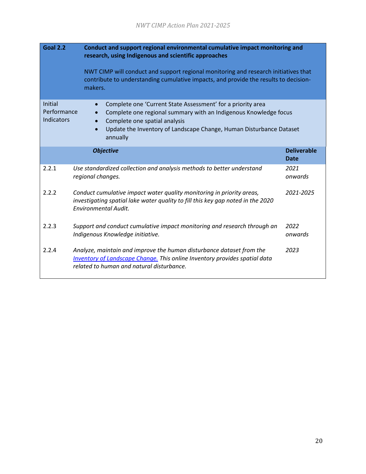| <b>Goal 2.2</b><br>Conduct and support regional environmental cumulative impact monitoring and<br>research, using Indigenous and scientific approaches<br>NWT CIMP will conduct and support regional monitoring and research initiatives that<br>contribute to understanding cumulative impacts, and provide the results to decision- |                                                                                                                                                                                                        |                                   |
|---------------------------------------------------------------------------------------------------------------------------------------------------------------------------------------------------------------------------------------------------------------------------------------------------------------------------------------|--------------------------------------------------------------------------------------------------------------------------------------------------------------------------------------------------------|-----------------------------------|
|                                                                                                                                                                                                                                                                                                                                       | makers.                                                                                                                                                                                                |                                   |
| Initial<br>Complete one 'Current State Assessment' for a priority area<br>Performance<br>Complete one regional summary with an Indigenous Knowledge focus<br><b>Indicators</b><br>Complete one spatial analysis<br>Update the Inventory of Landscape Change, Human Disturbance Dataset<br>annually                                    |                                                                                                                                                                                                        |                                   |
|                                                                                                                                                                                                                                                                                                                                       | <b>Objective</b>                                                                                                                                                                                       | <b>Deliverable</b><br><b>Date</b> |
| 2.2.1                                                                                                                                                                                                                                                                                                                                 | Use standardized collection and analysis methods to better understand<br>regional changes.                                                                                                             | 2021<br>onwards                   |
| 2.2.2                                                                                                                                                                                                                                                                                                                                 | Conduct cumulative impact water quality monitoring in priority areas,<br>investigating spatial lake water quality to fill this key gap noted in the 2020<br><b>Environmental Audit.</b>                | 2021-2025                         |
| 2.2.3                                                                                                                                                                                                                                                                                                                                 | Support and conduct cumulative impact monitoring and research through an<br>Indigenous Knowledge initiative.                                                                                           | 2022<br>onwards                   |
| 2.2.4                                                                                                                                                                                                                                                                                                                                 | Analyze, maintain and improve the human disturbance dataset from the<br><b>Inventory of Landscape Change.</b> This online Inventory provides spatial data<br>related to human and natural disturbance. | 2023                              |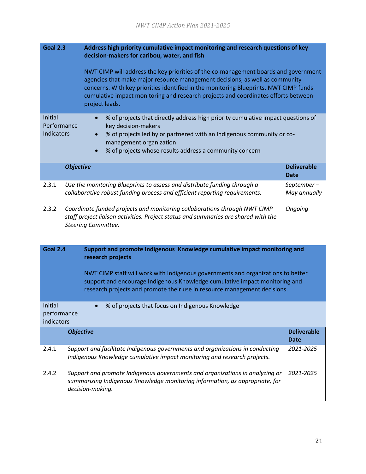| <b>Goal 2.3</b>                             | Address high priority cumulative impact monitoring and research questions of key<br>decision-makers for caribou, water, and fish                                                                                                                                                                                                                                     |                            |
|---------------------------------------------|----------------------------------------------------------------------------------------------------------------------------------------------------------------------------------------------------------------------------------------------------------------------------------------------------------------------------------------------------------------------|----------------------------|
|                                             | NWT CIMP will address the key priorities of the co-management boards and government<br>agencies that make major resource management decisions, as well as community<br>concerns. With key priorities identified in the monitoring Blueprints, NWT CIMP funds<br>cumulative impact monitoring and research projects and coordinates efforts between<br>project leads. |                            |
| Initial<br>Performance<br><b>Indicators</b> | % of projects that directly address high priority cumulative impact questions of<br>key decision-makers<br>% of projects led by or partnered with an Indigenous community or co-<br>management organization<br>% of projects whose results address a community concern                                                                                               |                            |
|                                             | <b>Objective</b>                                                                                                                                                                                                                                                                                                                                                     | <b>Deliverable</b><br>Date |
| 2.3.1                                       | Use the monitoring Blueprints to assess and distribute funding through a<br>collaborative robust funding process and efficient reporting requirements.                                                                                                                                                                                                               | September-<br>May annually |
| 2.3.2                                       | Coordinate funded projects and monitoring collaborations through NWT CIMP<br>staff project liaison activities. Project status and summaries are shared with the<br><b>Steering Committee.</b>                                                                                                                                                                        | Ongoing                    |

| <b>Goal 2.4</b>                      | Support and promote Indigenous Knowledge cumulative impact monitoring and<br>research projects<br>NWT CIMP staff will work with Indigenous governments and organizations to better<br>support and encourage Indigenous Knowledge cumulative impact monitoring and<br>research projects and promote their use in resource management decisions. |                                   |
|--------------------------------------|------------------------------------------------------------------------------------------------------------------------------------------------------------------------------------------------------------------------------------------------------------------------------------------------------------------------------------------------|-----------------------------------|
| Initial<br>performance<br>indicators | % of projects that focus on Indigenous Knowledge<br>$\bullet$                                                                                                                                                                                                                                                                                  |                                   |
|                                      | <b>Objective</b>                                                                                                                                                                                                                                                                                                                               | <b>Deliverable</b><br><b>Date</b> |
| 2.4.1                                | Support and facilitate Indigenous governments and organizations in conducting<br>Indigenous Knowledge cumulative impact monitoring and research projects.                                                                                                                                                                                      | 2021-2025                         |
| 2.4.2                                | Support and promote Indigenous governments and organizations in analyzing or<br>summarizing Indigenous Knowledge monitoring information, as appropriate, for<br>decision-making.                                                                                                                                                               | 2021-2025                         |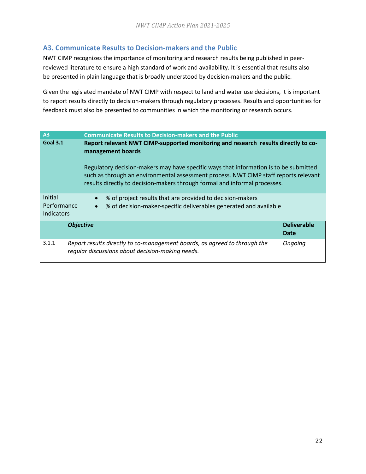### <span id="page-22-0"></span>**A3. Communicate Results to Decision-makers and the Public**

NWT CIMP recognizes the importance of monitoring and research results being published in peerreviewed literature to ensure a high standard of work and availability. It is essential that results also be presented in plain language that is broadly understood by decision-makers and the public.

Given the legislated mandate of NWT CIMP with respect to land and water use decisions, it is important to report results directly to decision-makers through regulatory processes. Results and opportunities for feedback must also be presented to communities in which the monitoring or research occurs.

| A <sub>3</sub>                                                                                                             | <b>Communicate Results to Decision-makers and the Public</b>                                                                                                                                                                                                |                            |
|----------------------------------------------------------------------------------------------------------------------------|-------------------------------------------------------------------------------------------------------------------------------------------------------------------------------------------------------------------------------------------------------------|----------------------------|
| <b>Goal 3.1</b><br>Report relevant NWT CIMP-supported monitoring and research results directly to co-<br>management boards |                                                                                                                                                                                                                                                             |                            |
|                                                                                                                            | Regulatory decision-makers may have specific ways that information is to be submitted<br>such as through an environmental assessment process. NWT CIMP staff reports relevant<br>results directly to decision-makers through formal and informal processes. |                            |
| Initial<br>Performance<br>Indicators                                                                                       | % of project results that are provided to decision-makers<br>% of decision-maker-specific deliverables generated and available<br>$\bullet$                                                                                                                 |                            |
|                                                                                                                            | <b>Objective</b>                                                                                                                                                                                                                                            | <b>Deliverable</b><br>Date |
| 3.1.1                                                                                                                      | Report results directly to co-management boards, as agreed to through the<br>regular discussions about decision-making needs.                                                                                                                               | Ongoing                    |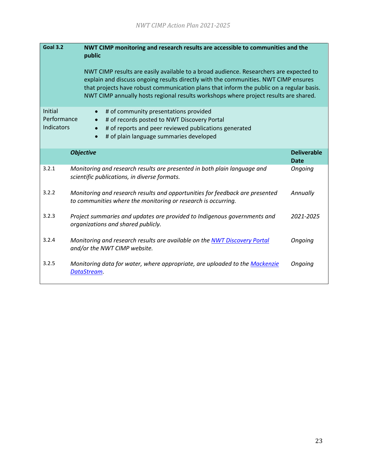| <b>Goal 3.2</b>                      | NWT CIMP monitoring and research results are accessible to communities and the<br>public<br>NWT CIMP results are easily available to a broad audience. Researchers are expected to<br>explain and discuss ongoing results directly with the communities. NWT CIMP ensures<br>that projects have robust communication plans that inform the public on a regular basis.<br>NWT CIMP annually hosts regional results workshops where project results are shared. |                                   |
|--------------------------------------|---------------------------------------------------------------------------------------------------------------------------------------------------------------------------------------------------------------------------------------------------------------------------------------------------------------------------------------------------------------------------------------------------------------------------------------------------------------|-----------------------------------|
| Initial<br>Performance<br>Indicators | # of community presentations provided<br>$\bullet$<br># of records posted to NWT Discovery Portal<br># of reports and peer reviewed publications generated<br># of plain language summaries developed                                                                                                                                                                                                                                                         |                                   |
|                                      | <b>Objective</b>                                                                                                                                                                                                                                                                                                                                                                                                                                              | <b>Deliverable</b><br><b>Date</b> |
| 3.2.1                                | Monitoring and research results are presented in both plain language and<br>scientific publications, in diverse formats.                                                                                                                                                                                                                                                                                                                                      | Ongoing                           |
| 3.2.2                                | Monitoring and research results and opportunities for feedback are presented<br>to communities where the monitoring or research is occurring.                                                                                                                                                                                                                                                                                                                 | Annually                          |
| 3.2.3                                | Project summaries and updates are provided to Indigenous governments and<br>organizations and shared publicly.                                                                                                                                                                                                                                                                                                                                                | 2021-2025                         |
| 3.2.4                                | Monitoring and research results are available on the NWT Discovery Portal<br>and/or the NWT CIMP website.                                                                                                                                                                                                                                                                                                                                                     | Ongoing                           |
| 3.2.5                                | Monitoring data for water, where appropriate, are uploaded to the Mackenzie<br>DataStream.                                                                                                                                                                                                                                                                                                                                                                    | Ongoing                           |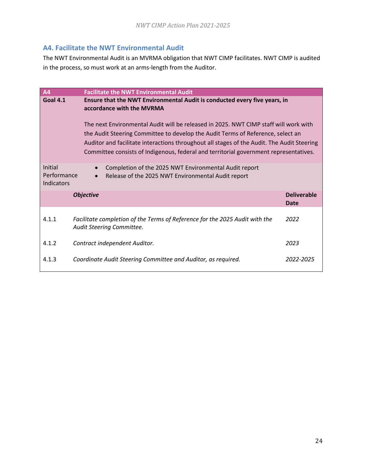### <span id="page-24-0"></span>**A4. Facilitate the NWT Environmental Audit**

The NWT Environmental Audit is an MVRMA obligation that NWT CIMP facilitates. NWT CIMP is audited in the process, so must work at an arms-length from the Auditor.

| <b>A4</b>                                                                                                          | <b>Facilitate the NWT Environmental Audit</b>                                                                                                                                                                                                                                                                                                                  |                            |
|--------------------------------------------------------------------------------------------------------------------|----------------------------------------------------------------------------------------------------------------------------------------------------------------------------------------------------------------------------------------------------------------------------------------------------------------------------------------------------------------|----------------------------|
| Goal 4.1<br>Ensure that the NWT Environmental Audit is conducted every five years, in<br>accordance with the MVRMA |                                                                                                                                                                                                                                                                                                                                                                |                            |
|                                                                                                                    | The next Environmental Audit will be released in 2025. NWT CIMP staff will work with<br>the Audit Steering Committee to develop the Audit Terms of Reference, select an<br>Auditor and facilitate interactions throughout all stages of the Audit. The Audit Steering<br>Committee consists of Indigenous, federal and territorial government representatives. |                            |
| Initial<br>Performance<br>Indicators                                                                               | Completion of the 2025 NWT Environmental Audit report<br>Release of the 2025 NWT Environmental Audit report                                                                                                                                                                                                                                                    |                            |
|                                                                                                                    | <b>Objective</b>                                                                                                                                                                                                                                                                                                                                               | <b>Deliverable</b><br>Date |
| 4.1.1                                                                                                              | Facilitate completion of the Terms of Reference for the 2025 Audit with the<br>Audit Steering Committee.                                                                                                                                                                                                                                                       | 2022                       |
| 4.1.2                                                                                                              | Contract independent Auditor.                                                                                                                                                                                                                                                                                                                                  | 2023                       |
| 4.1.3                                                                                                              | Coordinate Audit Steering Committee and Auditor, as required.                                                                                                                                                                                                                                                                                                  | 2022-2025                  |